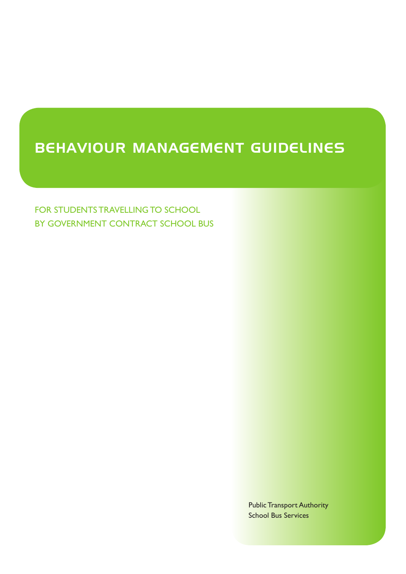# BEHAVIOUR MANAGEMENT GUIDELINES

FOR STUDENTS TRAVELLING TO SCHOOL BY GOVERNMENT CONTRACT SCHOOL BUS

> Public Transport Authority Public Transport Authority School Bus Services School Bus Services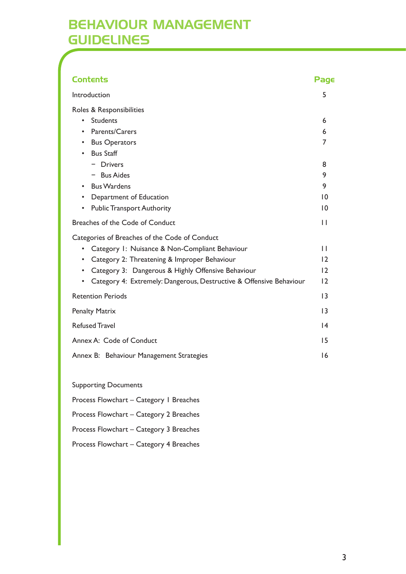# BEHAVIOUR MANAGEMENT GUIDELINES

| Contents                                                                                                                                                                                                                                                                                                       |                                        |  |
|----------------------------------------------------------------------------------------------------------------------------------------------------------------------------------------------------------------------------------------------------------------------------------------------------------------|----------------------------------------|--|
| Introduction                                                                                                                                                                                                                                                                                                   | 5                                      |  |
| Roles & Responsibilities<br><b>Students</b><br>$\bullet$<br>Parents/Carers<br>٠<br><b>Bus Operators</b><br>$\bullet$<br><b>Bus Staff</b><br>$\bullet$<br>- Drivers<br>- Bus Aides<br><b>Bus Wardens</b><br>$\bullet$<br>Department of Education<br>$\bullet$<br><b>Public Transport Authority</b><br>$\bullet$ | 6<br>6<br>7<br>8<br>9<br>9<br>10<br>10 |  |
| Breaches of the Code of Conduct                                                                                                                                                                                                                                                                                | $\mathbf{H}$                           |  |
| Categories of Breaches of the Code of Conduct<br>Category 1: Nuisance & Non-Compliant Behaviour<br>٠<br>Category 2: Threatening & Improper Behaviour<br>٠<br>Category 3: Dangerous & Highly Offensive Behaviour<br>$\bullet$<br>Category 4: Extremely: Dangerous, Destructive & Offensive Behaviour<br>٠       |                                        |  |
| <b>Retention Periods</b>                                                                                                                                                                                                                                                                                       | $\overline{13}$                        |  |
| <b>Penalty Matrix</b><br><b>Refused Travel</b>                                                                                                                                                                                                                                                                 | 13<br> 4                               |  |
| Annex A: Code of Conduct<br>15                                                                                                                                                                                                                                                                                 |                                        |  |
| Annex B: Behaviour Management Strategies                                                                                                                                                                                                                                                                       | 16                                     |  |

Supporting Documents

Process Flowchart – Category 1 Breaches

Process Flowchart – Category 2 Breaches

Process Flowchart – Category 3 Breaches

Process Flowchart – Category 4 Breaches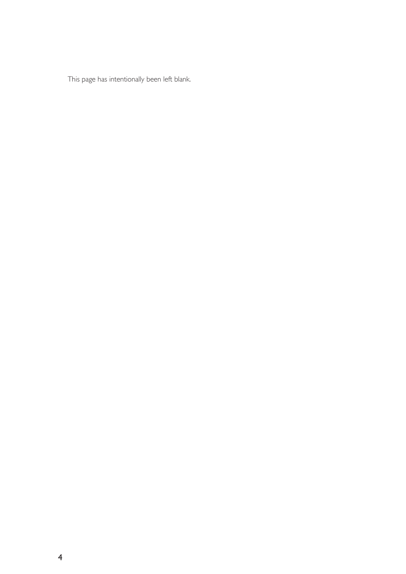This page has intentionally been left blank.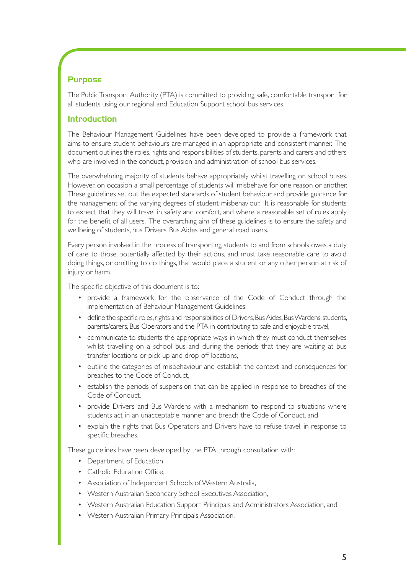# Purpose

The Public Transport Authority (PTA) is committed to providing safe, comfortable transport for all students using our regional and Education Support school bus services.

#### Introduction

The Behaviour Management Guidelines have been developed to provide a framework that aims to ensure student behaviours are managed in an appropriate and consistent manner. The document outlines the roles, rights and responsibilities of students, parents and carers and others who are involved in the conduct, provision and administration of school bus services.

The overwhelming majority of students behave appropriately whilst travelling on school buses. However, on occasion a small percentage of students will misbehave for one reason or another. These guidelines set out the expected standards of student behaviour and provide guidance for the management of the varying degrees of student misbehaviour. It is reasonable for students to expect that they will travel in safety and comfort, and where a reasonable set of rules apply for the benefit of all users. The overarching aim of these guidelines is to ensure the safety and wellbeing of students, bus Drivers, Bus Aides and general road users.

Every person involved in the process of transporting students to and from schools owes a duty of care to those potentially affected by their actions, and must take reasonable care to avoid doing things, or omitting to do things, that would place a student or any other person at risk of injury or harm.

The specific objective of this document is to:

- provide a framework for the observance of the Code of Conduct through the implementation of Behaviour Management Guidelines,
- define the specific roles, rights and responsibilities of Drivers, Bus Aides, Bus Wardens, students, parents/carers, Bus Operators and the PTA in contributing to safe and enjoyable travel,
- communicate to students the appropriate ways in which they must conduct themselves whilst travelling on a school bus and during the periods that they are waiting at bus transfer locations or pick-up and drop-off locations,
- outline the categories of misbehaviour and establish the context and consequences for breaches to the Code of Conduct,
- establish the periods of suspension that can be applied in response to breaches of the Code of Conduct,
- provide Drivers and Bus Wardens with a mechanism to respond to situations where students act in an unacceptable manner and breach the Code of Conduct, and
- explain the rights that Bus Operators and Drivers have to refuse travel, in response to specific breaches.

These guidelines have been developed by the PTA through consultation with:

- Department of Education,
- Catholic Education Office,
- Association of Independent Schools of Western Australia,
- Western Australian Secondary School Executives Association,
- Western Australian Education Support Principals and Administrators Association, and
- Western Australian Primary Principals Association.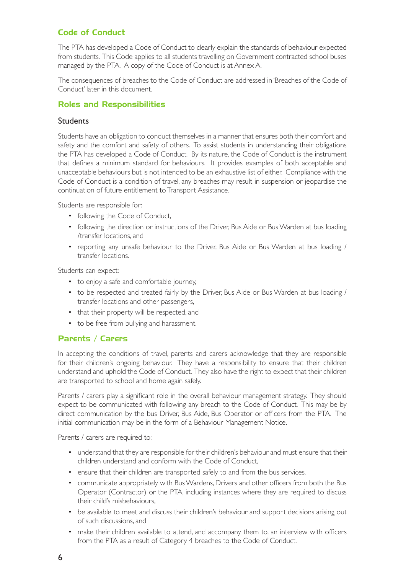# Code of Conduct

The PTA has developed a Code of Conduct to clearly explain the standards of behaviour expected from students. This Code applies to all students travelling on Government contracted school buses managed by the PTA. A copy of the Code of Conduct is at Annex A.

The consequences of breaches to the Code of Conduct are addressed in 'Breaches of the Code of Conduct' later in this document.

## Roles and Responsibilities

#### **Students**

Students have an obligation to conduct themselves in a manner that ensures both their comfort and safety and the comfort and safety of others. To assist students in understanding their obligations the PTA has developed a Code of Conduct. By its nature, the Code of Conduct is the instrument that defines a minimum standard for behaviours. It provides examples of both acceptable and unacceptable behaviours but is not intended to be an exhaustive list of either. Compliance with the Code of Conduct is a condition of travel, any breaches may result in suspension or jeopardise the continuation of future entitlement to Transport Assistance.

Students are responsible for:

- following the Code of Conduct,
- following the direction or instructions of the Driver, Bus Aide or Bus Warden at bus loading /transfer locations, and
- reporting any unsafe behaviour to the Driver, Bus Aide or Bus Warden at bus loading / transfer locations.

Students can expect:

- to enjoy a safe and comfortable journey,
- to be respected and treated fairly by the Driver, Bus Aide or Bus Warden at bus loading / transfer locations and other passengers,
- that their property will be respected, and
- to be free from bullying and harassment.

#### Parents / Carers

In accepting the conditions of travel, parents and carers acknowledge that they are responsible for their children's ongoing behaviour. They have a responsibility to ensure that their children understand and uphold the Code of Conduct. They also have the right to expect that their children are transported to school and home again safely.

Parents / carers play a significant role in the overall behaviour management strategy. They should expect to be communicated with following any breach to the Code of Conduct. This may be by direct communication by the bus Driver, Bus Aide, Bus Operator or officers from the PTA. The initial communication may be in the form of a Behaviour Management Notice.

Parents / carers are required to:

- understand that they are responsible for their children's behaviour and must ensure that their children understand and conform with the Code of Conduct,
- ensure that their children are transported safely to and from the bus services,
- communicate appropriately with Bus Wardens, Drivers and other officers from both the Bus Operator (Contractor) or the PTA, including instances where they are required to discuss their child's misbehaviours,
- be available to meet and discuss their children's behaviour and support decisions arising out of such discussions, and
- make their children available to attend, and accompany them to, an interview with officers from the PTA as a result of Category 4 breaches to the Code of Conduct.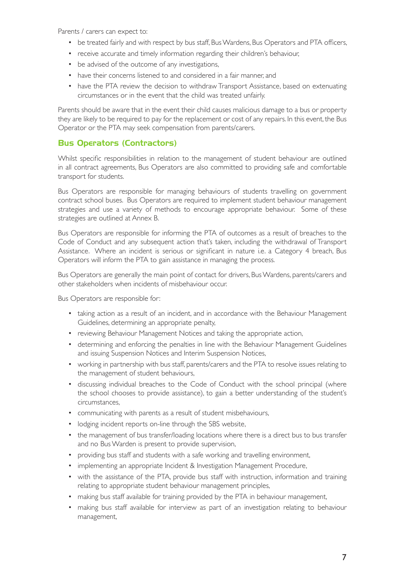Parents / carers can expect to:

- be treated fairly and with respect by bus staff, Bus Wardens, Bus Operators and PTA officers,
- receive accurate and timely information regarding their children's behaviour,
- be advised of the outcome of any investigations,
- have their concerns listened to and considered in a fair manner, and
- have the PTA review the decision to withdraw Transport Assistance, based on extenuating circumstances or in the event that the child was treated unfairly.

Parents should be aware that in the event their child causes malicious damage to a bus or property they are likely to be required to pay for the replacement or cost of any repairs. In this event, the Bus Operator or the PTA may seek compensation from parents/carers.

## Bus Operators (Contractors)

Whilst specific responsibilities in relation to the management of student behaviour are outlined in all contract agreements, Bus Operators are also committed to providing safe and comfortable transport for students.

Bus Operators are responsible for managing behaviours of students travelling on government contract school buses. Bus Operators are required to implement student behaviour management strategies and use a variety of methods to encourage appropriate behaviour. Some of these strategies are outlined at Annex B.

Bus Operators are responsible for informing the PTA of outcomes as a result of breaches to the Code of Conduct and any subsequent action that's taken, including the withdrawal of Transport Assistance. Where an incident is serious or significant in nature i.e. a Category 4 breach, Bus Operators will inform the PTA to gain assistance in managing the process.

Bus Operators are generally the main point of contact for drivers, Bus Wardens, parents/carers and other stakeholders when incidents of misbehaviour occur.

Bus Operators are responsible for:

- taking action as a result of an incident, and in accordance with the Behaviour Management Guidelines, determining an appropriate penalty,
- reviewing Behaviour Management Notices and taking the appropriate action,
- determining and enforcing the penalties in line with the Behaviour Management Guidelines and issuing Suspension Notices and Interim Suspension Notices,
- working in partnership with bus staff, parents/carers and the PTA to resolve issues relating to the management of student behaviours,
- discussing individual breaches to the Code of Conduct with the school principal (where the school chooses to provide assistance), to gain a better understanding of the student's circumstances,
- communicating with parents as a result of student misbehaviours,
- lodging incident reports on-line through the SBS website,
- the management of bus transfer/loading locations where there is a direct bus to bus transfer and no Bus Warden is present to provide supervision,
- providing bus staff and students with a safe working and travelling environment,
- implementing an appropriate Incident & Investigation Management Procedure,
- with the assistance of the PTA, provide bus staff with instruction, information and training relating to appropriate student behaviour management principles,
- making bus staff available for training provided by the PTA in behaviour management,
- making bus staff available for interview as part of an investigation relating to behaviour management,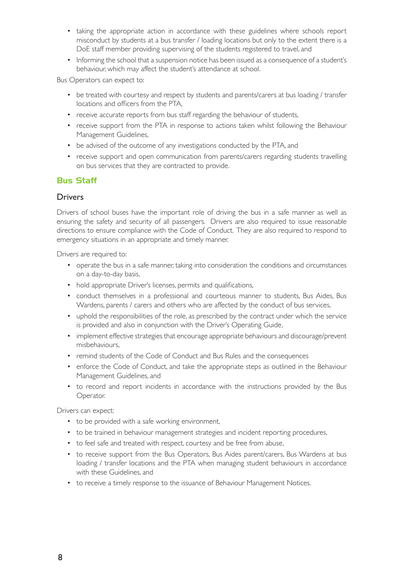- taking the appropriate action in accordance with these guidelines where schools report misconduct by students at a bus transfer / loading locations but only to the extent there is a DoE staff member providing supervising of the students registered to travel, and
- Informing the school that a suspension notice has been issued as a consequence of a student's behaviour, which may affect the student's attendance at school.

Bus Operators can expect to:

- be treated with courtesy and respect by students and parents/carers at bus loading / transfer locations and officers from the PTA,
- receive accurate reports from bus staff regarding the behaviour of students,
- receive support from the PTA in response to actions taken whilst following the Behaviour Management Guidelines,
- be advised of the outcome of any investigations conducted by the PTA, and
- receive support and open communication from parents/carers regarding students travelling on bus services that they are contracted to provide.

# Bus Staff

## **Drivers**

Drivers of school buses have the important role of driving the bus in a safe manner as well as ensuring the safety and security of all passengers. Drivers are also required to issue reasonable directions to ensure compliance with the Code of Conduct. They are also required to respond to emergency situations in an appropriate and timely manner.

Drivers are required to:

- operate the bus in a safe manner, taking into consideration the conditions and circumstances on a day-to-day basis,
- hold appropriate Driver's licenses, permits and qualifications,
- conduct themselves in a professional and courteous manner to students, Bus Aides, Bus Wardens, parents / carers and others who are affected by the conduct of bus services,
- uphold the responsibilities of the role, as prescribed by the contract under which the service is provided and also in conjunction with the Driver's Operating Guide,
- implement effective strategies that encourage appropriate behaviours and discourage/prevent misbehaviours,
- remind students of the Code of Conduct and Bus Rules and the consequences
- enforce the Code of Conduct, and take the appropriate steps as outlined in the Behaviour Management Guidelines, and
- to record and report incidents in accordance with the instructions provided by the Bus Operator.

Drivers can expect:

- to be provided with a safe working environment,
- to be trained in behaviour management strategies and incident reporting procedures,
- to feel safe and treated with respect, courtesy and be free from abuse,
- to receive support from the Bus Operators, Bus Aides parent/carers, Bus Wardens at bus loading / transfer locations and the PTA when managing student behaviours in accordance with these Guidelines, and
- to receive a timely response to the issuance of Behaviour Management Notices.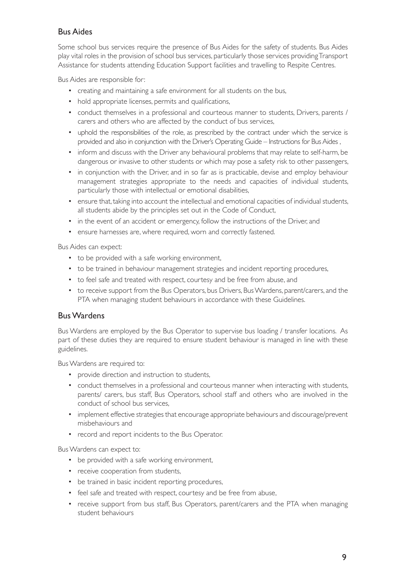# Bus Aides

Some school bus services require the presence of Bus Aides for the safety of students. Bus Aides play vital roles in the provision of school bus services, particularly those services providing Transport Assistance for students attending Education Support facilities and travelling to Respite Centres.

Bus Aides are responsible for:

- creating and maintaining a safe environment for all students on the bus,
- hold appropriate licenses, permits and qualifications,
- conduct themselves in a professional and courteous manner to students, Drivers, parents / carers and others who are affected by the conduct of bus services,
- uphold the responsibilities of the role, as prescribed by the contract under which the service is provided and also in conjunction with the Driver's Operating Guide – Instructions for Bus Aides ,
- inform and discuss with the Driver any behavioural problems that may relate to self-harm, be dangerous or invasive to other students or which may pose a safety risk to other passengers,
- in conjunction with the Driver, and in so far as is practicable, devise and employ behaviour management strategies appropriate to the needs and capacities of individual students, particularly those with intellectual or emotional disabilities,
- ensure that, taking into account the intellectual and emotional capacities of individual students, all students abide by the principles set out in the Code of Conduct,
- in the event of an accident or emergency, follow the instructions of the Driver, and
- ensure harnesses are, where required, worn and correctly fastened.

Bus Aides can expect:

- to be provided with a safe working environment,
- to be trained in behaviour management strategies and incident reporting procedures,
- to feel safe and treated with respect, courtesy and be free from abuse, and
- to receive support from the Bus Operators, bus Drivers, Bus Wardens, parent/carers, and the PTA when managing student behaviours in accordance with these Guidelines.

#### BusWardens

Bus Wardens are employed by the Bus Operator to supervise bus loading / transfer locations. As part of these duties they are required to ensure student behaviour is managed in line with these guidelines.

Bus Wardens are required to:

- provide direction and instruction to students,
- conduct themselves in a professional and courteous manner when interacting with students, parents/ carers, bus staff, Bus Operators, school staff and others who are involved in the conduct of school bus services,
- implement effective strategies that encourage appropriate behaviours and discourage/prevent misbehaviours and
- record and report incidents to the Bus Operator.

Bus Wardens can expect to:

- be provided with a safe working environment,
- receive cooperation from students,
- be trained in basic incident reporting procedures,
- feel safe and treated with respect, courtesy and be free from abuse,
- receive support from bus staff, Bus Operators, parent/carers and the PTA when managing student behaviours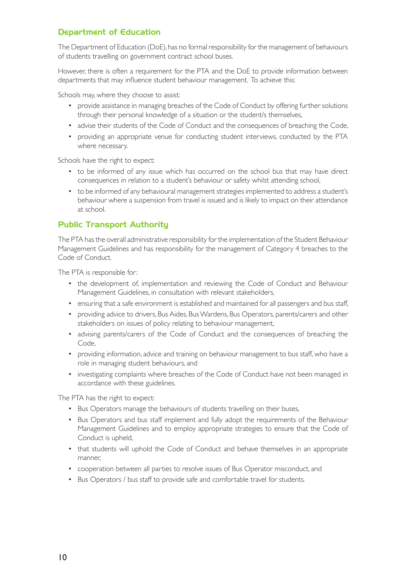# Department of Education

The Department of Education (DoE), has no formal responsibility for the management of behaviours of students travelling on government contract school buses.

However, there is often a requirement for the PTA and the DoE to provide information between departments that may influence student behaviour management. To achieve this:

Schools may, where they choose to assist:

- provide assistance in managing breaches of the Code of Conduct by offering further solutions through their personal knowledge of a situation or the student/s themselves,
- advise their students of the Code of Conduct and the consequences of breaching the Code,
- providing an appropriate venue for conducting student interviews, conducted by the PTA where necessary.

Schools have the right to expect:

- to be informed of any issue which has occurred on the school bus that may have direct consequences in relation to a student's behaviour or safety whilst attending school,
- to be informed of any behavioural management strategies implemented to address a student's behaviour where a suspension from travel is issued and is likely to impact on their attendance at school.

# Public Transport Authority

The PTA has the overall administrative responsibility for the implementation of the Student Behaviour Management Guidelines and has responsibility for the management of Category 4 breaches to the Code of Conduct.

The PTA is responsible for:

- the development of, implementation and reviewing the Code of Conduct and Behaviour Management Guidelines, in consultation with relevant stakeholders,
- ensuring that a safe environment is established and maintained for all passengers and bus staff,
- providing advice to drivers, Bus Aides, Bus Wardens, Bus Operators, parents/carers and other stakeholders on issues of policy relating to behaviour management,
- advising parents/carers of the Code of Conduct and the consequences of breaching the Code,
- providing information, advice and training on behaviour management to bus staff, who have a role in managing student behaviours, and
- investigating complaints where breaches of the Code of Conduct have not been managed in accordance with these guidelines.

The PTA has the right to expect:

- Bus Operators manage the behaviours of students travelling on their buses,
- Bus Operators and bus staff implement and fully adopt the requirements of the Behaviour Management Guidelines and to employ appropriate strategies to ensure that the Code of Conduct is upheld,
- that students will uphold the Code of Conduct and behave themselves in an appropriate manner,
- cooperation between all parties to resolve issues of Bus Operator misconduct, and
- Bus Operators / bus staff to provide safe and comfortable travel for students.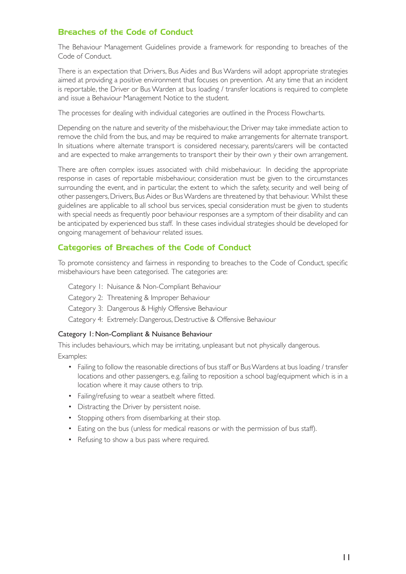# Breaches of the Code of Conduct

The Behaviour Management Guidelines provide a framework for responding to breaches of the Code of Conduct.

There is an expectation that Drivers, Bus Aides and Bus Wardens will adopt appropriate strategies aimed at providing a positive environment that focuses on prevention. At any time that an incident is reportable, the Driver or Bus Warden at bus loading / transfer locations is required to complete and issue a Behaviour Management Notice to the student.

The processes for dealing with individual categories are outlined in the Process Flowcharts.

Depending on the nature and severity of the misbehaviour, the Driver may take immediate action to remove the child from the bus, and may be required to make arrangements for alternate transport. In situations where alternate transport is considered necessary, parents/carers will be contacted and are expected to make arrangements to transport their by their own y their own arrangement.

There are often complex issues associated with child misbehaviour. In deciding the appropriate response in cases of reportable misbehaviour, consideration must be given to the circumstances surrounding the event, and in particular, the extent to which the safety, security and well being of other passengers, Drivers, Bus Aides or Bus Wardens are threatened by that behaviour. Whilst these guidelines are applicable to all school bus services, special consideration must be given to students with special needs as frequently poor behaviour responses are a symptom of their disability and can be anticipated by experienced bus staff. In these cases individual strategies should be developed for ongoing management of behaviour related issues.

# Categories of Breaches of the Code of Conduct

To promote consistency and fairness in responding to breaches to the Code of Conduct, specific misbehaviours have been categorised. The categories are:

Category 1: Nuisance & Non-Compliant Behaviour

Category 2: Threatening & Improper Behaviour

Category 3: Dangerous & Highly Offensive Behaviour

Category 4: Extremely: Dangerous, Destructive & Offensive Behaviour

#### Category 1: Non-Compliant & Nuisance Behaviour

This includes behaviours, which may be irritating, unpleasant but not physically dangerous. Examples:

- Failing to follow the reasonable directions of bus staff or Bus Wardens at bus loading / transfer locations and other passengers, e.g. failing to reposition a school bag/equipment which is in a location where it may cause others to trip.
- Failing/refusing to wear a seatbelt where fitted.
- Distracting the Driver by persistent noise.
- Stopping others from disembarking at their stop.
- Eating on the bus (unless for medical reasons or with the permission of bus staff).
- Refusing to show a bus pass where required.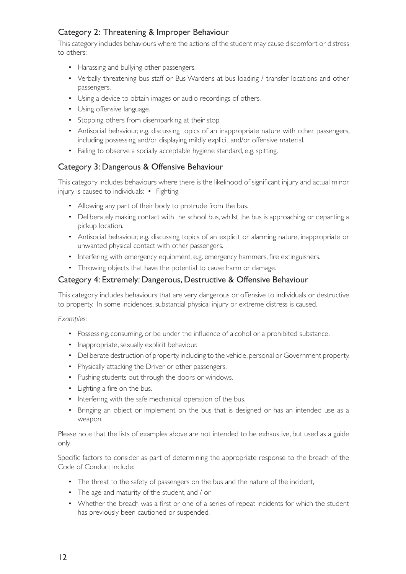# Category 2: Threatening & Improper Behaviour

This category includes behaviours where the actions of the student may cause discomfort or distress to others:

- Harassing and bullying other passengers.
- Verbally threatening bus staff or Bus Wardens at bus loading / transfer locations and other passengers.
- Using a device to obtain images or audio recordings of others.
- Using offensive language.
- Stopping others from disembarking at their stop.
- Antisocial behaviour, e.g. discussing topics of an inappropriate nature with other passengers, including possessing and/or displaying mildly explicit and/or offensive material.
- Failing to observe a socially acceptable hygiene standard, e.g. spitting.

# Category 3: Dangerous & Offensive Behaviour

This category includes behaviours where there is the likelihood of significant injury and actual minor injury is caused to individuals: • Fighting.

- Allowing any part of their body to protrude from the bus.
- Deliberately making contact with the school bus, whilst the bus is approaching or departing a pickup location.
- Antisocial behaviour, e.g. discussing topics of an explicit or alarming nature, inappropriate or unwanted physical contact with other passengers.
- Interfering with emergency equipment, e.g. emergency hammers, fire extinguishers.
- Throwing objects that have the potential to cause harm or damage.

#### Category 4: Extremely: Dangerous, Destructive & Offensive Behaviour

This category includes behaviours that are very dangerous or offensive to individuals or destructive to property. In some incidences, substantial physical injury or extreme distress is caused.

*Examples:*

- Possessing, consuming, or be under the influence of alcohol or a prohibited substance.
- Inappropriate, sexually explicit behaviour.
- Deliberate destruction of property, including to the vehicle, personal or Government property.
- Physically attacking the Driver or other passengers.
- Pushing students out through the doors or windows.
- Lighting a fire on the bus.
- Interfering with the safe mechanical operation of the bus.
- Bringing an object or implement on the bus that is designed or has an intended use as a weapon.

Please note that the lists of examples above are not intended to be exhaustive, but used as a guide only.

Specific factors to consider as part of determining the appropriate response to the breach of the Code of Conduct include:

- The threat to the safety of passengers on the bus and the nature of the incident,
- The age and maturity of the student, and / or
- Whether the breach was a first or one of a series of repeat incidents for which the student has previously been cautioned or suspended.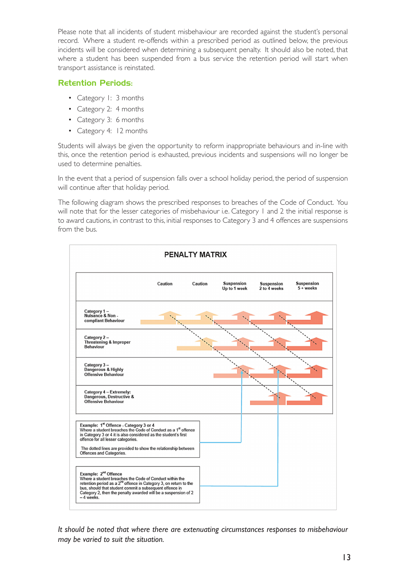Please note that all incidents of student misbehaviour are recorded against the student's personal record. Where a student re-offends within a prescribed period as outlined below, the previous incidents will be considered when determining a subsequent penalty. It should also be noted, that where a student has been suspended from a bus service the retention period will start when transport assistance is reinstated.

## Retention Periods:

- Category 1: 3 months
- Category 2: 4 months
- Category 3: 6 months
- Category 4: 12 months

Students will always be given the opportunity to reform inappropriate behaviours and in-line with this, once the retention period is exhausted, previous incidents and suspensions will no longer be used to determine penalties.

In the event that a period of suspension falls over a school holiday period, the period of suspension will continue after that holiday period.

The following diagram shows the prescribed responses to breaches of the Code of Conduct. You will note that for the lesser categories of misbehaviour i.e. Category 1 and 2 the initial response is to award cautions, in contrast to this, initial responses to Category 3 and 4 offences are suspensions from the bus.



*It should be noted that where there are extenuating circumstances responses to misbehaviour may be varied to suit the situation.*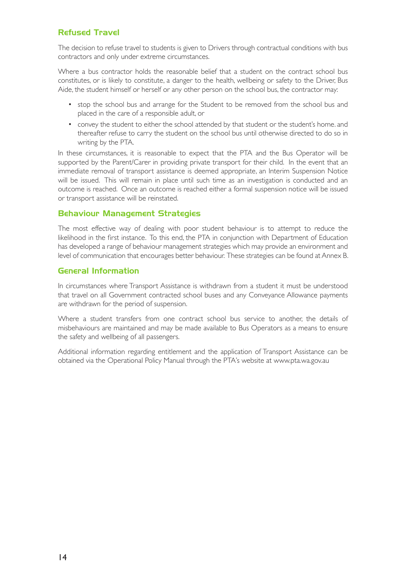# Refused Travel

The decision to refuse travel to students is given to Drivers through contractual conditions with bus contractors and only under extreme circumstances.

Where a bus contractor holds the reasonable belief that a student on the contract school bus constitutes, or is likely to constitute, a danger to the health, wellbeing or safety to the Driver, Bus Aide, the student himself or herself or any other person on the school bus, the contractor may:

- stop the school bus and arrange for the Student to be removed from the school bus and placed in the care of a responsible adult, or
- convey the student to either the school attended by that student or the student's home. and thereafter refuse to carry the student on the school bus until otherwise directed to do so in writing by the PTA.

In these circumstances, it is reasonable to expect that the PTA and the Bus Operator will be supported by the Parent/Carer in providing private transport for their child. In the event that an immediate removal of transport assistance is deemed appropriate, an Interim Suspension Notice will be issued. This will remain in place until such time as an investigation is conducted and an outcome is reached. Once an outcome is reached either a formal suspension notice will be issued or transport assistance will be reinstated.

#### Behaviour Management Strategies

The most effective way of dealing with poor student behaviour is to attempt to reduce the likelihood in the first instance. To this end, the PTA in conjunction with Department of Education has developed a range of behaviour management strategies which may provide an environment and level of communication that encourages better behaviour. These strategies can be found at Annex B.

#### General Information

In circumstances where Transport Assistance is withdrawn from a student it must be understood that travel on all Government contracted school buses and any Conveyance Allowance payments are withdrawn for the period of suspension.

Where a student transfers from one contract school bus service to another, the details of misbehaviours are maintained and may be made available to Bus Operators as a means to ensure the safety and wellbeing of all passengers.

Additional information regarding entitlement and the application of Transport Assistance can be obtained via the Operational Policy Manual through the PTA's website at www.pta.wa.gov.au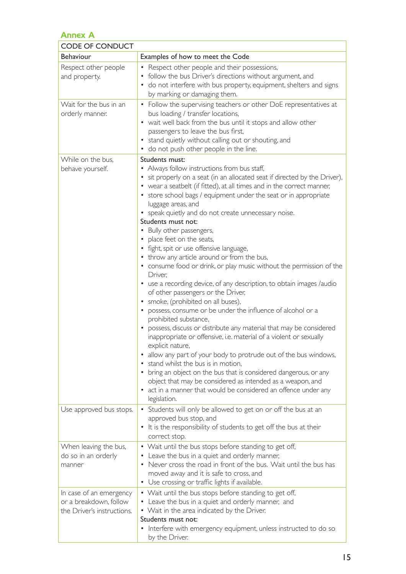# Annex A

| <b>CODE OF CONDUCT</b>                                                          |                                                                                                                                                                                                                                                                                                                                                                                                                                                                                                                                                                                                                                                                                                                                                                                                                                                                                                                                                                                                                                                                                                                                                                                                                                                                                                                                                                                              |  |
|---------------------------------------------------------------------------------|----------------------------------------------------------------------------------------------------------------------------------------------------------------------------------------------------------------------------------------------------------------------------------------------------------------------------------------------------------------------------------------------------------------------------------------------------------------------------------------------------------------------------------------------------------------------------------------------------------------------------------------------------------------------------------------------------------------------------------------------------------------------------------------------------------------------------------------------------------------------------------------------------------------------------------------------------------------------------------------------------------------------------------------------------------------------------------------------------------------------------------------------------------------------------------------------------------------------------------------------------------------------------------------------------------------------------------------------------------------------------------------------|--|
| Behaviour                                                                       | Examples of how to meet the Code                                                                                                                                                                                                                                                                                                                                                                                                                                                                                                                                                                                                                                                                                                                                                                                                                                                                                                                                                                                                                                                                                                                                                                                                                                                                                                                                                             |  |
| Respect other people<br>and property.                                           | • Respect other people and their possessions,<br>follow the bus Driver's directions without argument, and<br>• do not interfere with bus property, equipment, shelters and signs<br>by marking or damaging them.                                                                                                                                                                                                                                                                                                                                                                                                                                                                                                                                                                                                                                                                                                                                                                                                                                                                                                                                                                                                                                                                                                                                                                             |  |
| Wait for the bus in an<br>orderly manner.                                       | • Follow the supervising teachers or other DoE representatives at<br>bus loading / transfer locations,<br>• wait well back from the bus until it stops and allow other<br>passengers to leave the bus first,<br>• stand quietly without calling out or shouting, and<br>• do not push other people in the line.                                                                                                                                                                                                                                                                                                                                                                                                                                                                                                                                                                                                                                                                                                                                                                                                                                                                                                                                                                                                                                                                              |  |
| While on the bus,<br>behave yourself.                                           | Students must:<br>• Always follow instructions from bus staff,<br>• sit properly on a seat (in an allocated seat if directed by the Driver),<br>• wear a seatbelt (if fitted), at all times and in the correct manner,<br>• store school bags / equipment under the seat or in appropriate<br>luggage areas, and<br>• speak quietly and do not create unnecessary noise.<br>Students must not:<br>Bully other passengers,<br>٠<br>• place feet on the seats,<br>• fight, spit or use offensive language,<br>• throw any article around or from the bus,<br>• consume food or drink, or play music without the permission of the<br>Driver,<br>• use a recording device, of any description, to obtain images /audio<br>of other passengers or the Driver,<br>• smoke, (prohibited on all buses),<br>• possess, consume or be under the influence of alcohol or a<br>prohibited substance,<br>possess, discuss or distribute any material that may be considered<br>inappropriate or offensive, i.e. material of a violent or sexually<br>explicit nature.<br>• allow any part of your body to protrude out of the bus windows,<br>• stand whilst the bus is in motion,<br>• bring an object on the bus that is considered dangerous, or any<br>object that may be considered as intended as a weapon, and<br>• act in a manner that would be considered an offence under any<br>legislation. |  |
| Use approved bus stops.                                                         | • Students will only be allowed to get on or off the bus at an<br>approved bus stop, and<br>It is the responsibility of students to get off the bus at their<br>٠<br>correct stop.                                                                                                                                                                                                                                                                                                                                                                                                                                                                                                                                                                                                                                                                                                                                                                                                                                                                                                                                                                                                                                                                                                                                                                                                           |  |
| When leaving the bus,<br>do so in an orderly<br>manner                          | • Wait until the bus stops before standing to get off,<br>• Leave the bus in a quiet and orderly manner,<br>• Never cross the road in front of the bus. Wait until the bus has<br>moved away and it is safe to cross, and<br>• Use crossing or traffic lights if available.                                                                                                                                                                                                                                                                                                                                                                                                                                                                                                                                                                                                                                                                                                                                                                                                                                                                                                                                                                                                                                                                                                                  |  |
| In case of an emergency<br>or a breakdown, follow<br>the Driver's instructions. | • Wait until the bus stops before standing to get off,<br>• Leave the bus in a quiet and orderly manner, and<br>• Wait in the area indicated by the Driver.<br>Students must not:<br>Interfere with emergency equipment, unless instructed to do so<br>by the Driver.                                                                                                                                                                                                                                                                                                                                                                                                                                                                                                                                                                                                                                                                                                                                                                                                                                                                                                                                                                                                                                                                                                                        |  |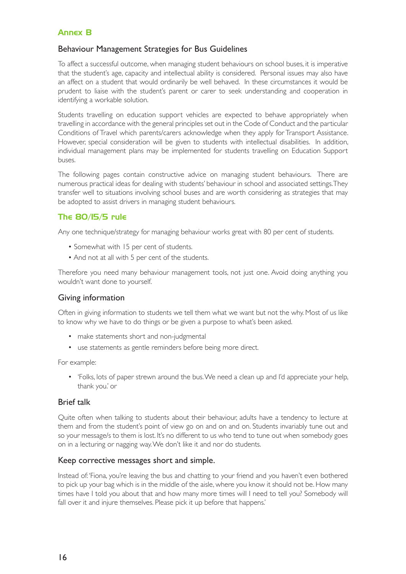# Annex B

## Behaviour Management Strategies for Bus Guidelines

To affect a successful outcome, when managing student behaviours on school buses, it is imperative that the student's age, capacity and intellectual ability is considered. Personal issues may also have an affect on a student that would ordinarily be well behaved. In these circumstances it would be prudent to liaise with the student's parent or carer to seek understanding and cooperation in identifying a workable solution.

Students travelling on education support vehicles are expected to behave appropriately when travelling in accordance with the general principles set out in the Code of Conduct and the particular Conditions of Travel which parents/carers acknowledge when they apply for Transport Assistance. However, special consideration will be given to students with intellectual disabilities. In addition, individual management plans may be implemented for students travelling on Education Support buses.

The following pages contain constructive advice on managing student behaviours. There are numerous practical ideas for dealing with students' behaviour in school and associated settings. They transfer well to situations involving school buses and are worth considering as strategies that may be adopted to assist drivers in managing student behaviours.

## The 80/15/5 rule

Any one technique/strategy for managing behaviour works great with 80 per cent of students.

- Somewhat with 15 per cent of students.
- And not at all with 5 per cent of the students.

Therefore you need many behaviour management tools, not just one. Avoid doing anything you wouldn't want done to yourself.

#### Giving information

Often in giving information to students we tell them what we want but not the why. Most of us like to know why we have to do things or be given a purpose to what's been asked.

- make statements short and non-judgmental
- use statements as gentle reminders before being more direct.

For example:

• 'Folks, lots of paper strewn around the bus. We need a clean up and I'd appreciate your help, thank you.' or

#### Brief talk

Quite often when talking to students about their behaviour, adults have a tendency to lecture at them and from the student's point of view go on and on and on. Students invariably tune out and so your message/s to them is lost. It's no different to us who tend to tune out when somebody goes on in a lecturing or nagging way. We don't like it and nor do students.

#### Keep corrective messages short and simple.

Instead of: 'Fiona, you're leaving the bus and chatting to your friend and you haven't even bothered to pick up your bag which is in the middle of the aisle, where you know it should not be. How many times have I told you about that and how many more times will I need to tell you? Somebody will fall over it and injure themselves. Please pick it up before that happens.'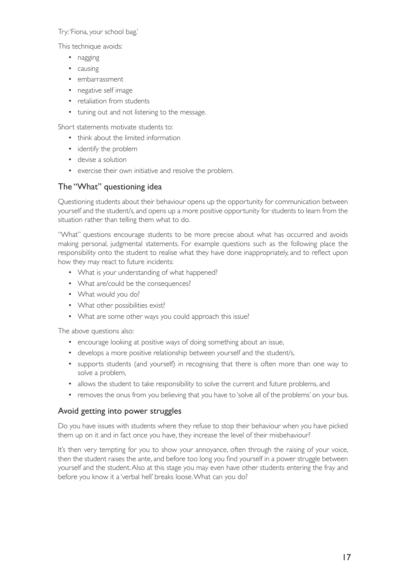Try: 'Fiona, your school bag.'

This technique avoids:

- nagging
- causing
- embarrassment
- negative self image
- retaliation from students
- tuning out and not listening to the message.

Short statements motivate students to:

- think about the limited information
- identify the problem
- devise a solution
- exercise their own initiative and resolve the problem.

# The "What" questioning idea

Questioning students about their behaviour opens up the opportunity for communication between yourself and the student/s, and opens up a more positive opportunity for students to learn from the situation rather than telling them what to do.

"What" questions encourage students to be more precise about what has occurred and avoids making personal, judgmental statements. For example questions such as the following place the responsibility onto the student to realise what they have done inappropriately, and to reflect upon how they may react to future incidents:

- What is your understanding of what happened?
- What are/could be the consequences?
- What would you do?
- What other possibilities exist?
- What are some other ways you could approach this issue?

The above questions also:

- encourage looking at positive ways of doing something about an issue,
- develops a more positive relationship between yourself and the student/s,
- supports students (and yourself) in recognising that there is often more than one way to solve a problem,
- allows the student to take responsibility to solve the current and future problems, and
- removes the onus from you believing that you have to 'solve all of the problems' on your bus.

# Avoid getting into power struggles

Do you have issues with students where they refuse to stop their behaviour when you have picked them up on it and in fact once you have, they increase the level of their misbehaviour?

It's then very tempting for you to show your annoyance, often through the raising of your voice, then the student raises the ante, and before too long you find yourself in a power struggle between yourself and the student. Also at this stage you may even have other students entering the fray and before you know it a 'verbal hell' breaks loose. What can you do?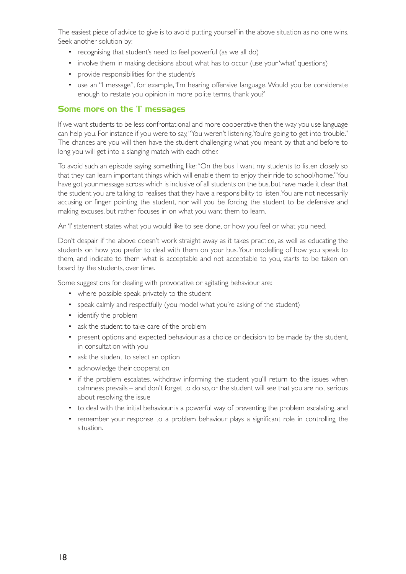The easiest piece of advice to give is to avoid putting yourself in the above situation as no one wins. Seek another solution by:

- recognising that student's need to feel powerful (as we all do)
- involve them in making decisions about what has to occur (use your 'what' questions)
- provide responsibilities for the student/s
- use an "I message", for example, 'I'm hearing offensive language. Would you be considerate enough to restate you opinion in more polite terms, thank you?'

#### Some more on the 'I' messages

If we want students to be less confrontational and more cooperative then the way you use language can help you. For instance if you were to say, "You weren't listening. You're going to get into trouble." The chances are you will then have the student challenging what you meant by that and before to long you will get into a slanging match with each other.

To avoid such an episode saying something like: "On the bus I want my students to listen closely so that they can learn important things which will enable them to enjoy their ride to school/home." You have got your message across which is inclusive of all students on the bus, but have made it clear that the student you are talking to realises that they have a responsibility to listen. You are not necessarily accusing or finger pointing the student, nor will you be forcing the student to be defensive and making excuses, but rather focuses in on what you want them to learn.

An 'I' statement states what you would like to see done, or how you feel or what you need.

Don't despair if the above doesn't work straight away as it takes practice, as well as educating the students on how you prefer to deal with them on your bus. Your modelling of how you speak to them, and indicate to them what is acceptable and not acceptable to you, starts to be taken on board by the students, over time.

Some suggestions for dealing with provocative or agitating behaviour are:

- where possible speak privately to the student
- speak calmly and respectfully (you model what you're asking of the student)
- identify the problem
- ask the student to take care of the problem
- present options and expected behaviour as a choice or decision to be made by the student, in consultation with you
- ask the student to select an option
- acknowledge their cooperation
- if the problem escalates, withdraw informing the student you'll return to the issues when calmness prevails – and don't forget to do so, or the student will see that you are not serious about resolving the issue
- to deal with the initial behaviour is a powerful way of preventing the problem escalating, and
- remember your response to a problem behaviour plays a significant role in controlling the situation.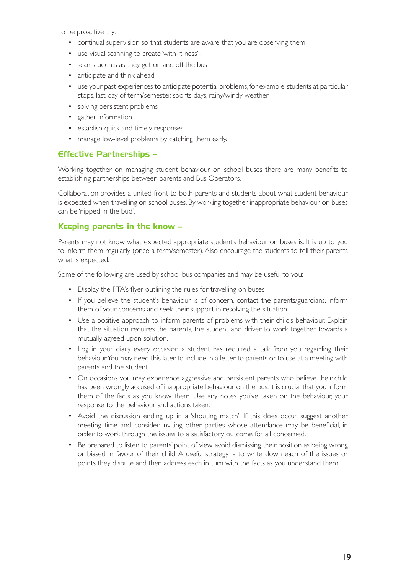To be proactive try:

- continual supervision so that students are aware that you are observing them
- use visual scanning to create 'with-it-ness' -
- scan students as they get on and off the bus
- anticipate and think ahead
- use your past experiences to anticipate potential problems, for example, students at particular stops, last day of term/semester, sports days, rainy/windy weather
- solving persistent problems
- gather information
- establish quick and timely responses
- manage low-level problems by catching them early.

#### Effective Partnerships –

Working together on managing student behaviour on school buses there are many benefits to establishing partnerships between parents and Bus Operators.

Collaboration provides a united front to both parents and students about what student behaviour is expected when travelling on school buses. By working together inappropriate behaviour on buses can be 'nipped in the bud'.

#### Keeping parents in the know –

Parents may not know what expected appropriate student's behaviour on buses is. It is up to you to inform them regularly (once a term/semester). Also encourage the students to tell their parents what is expected.

Some of the following are used by school bus companies and may be useful to you:

- Display the PTA's flyer outlining the rules for travelling on buses ,
- If you believe the student's behaviour is of concern, contact the parents/guardians. Inform them of your concerns and seek their support in resolving the situation.
- Use a positive approach to inform parents of problems with their child's behaviour. Explain that the situation requires the parents, the student and driver to work together towards a mutually agreed upon solution.
- Log in your diary every occasion a student has required a talk from you regarding their behaviour. You may need this later to include in a letter to parents or to use at a meeting with parents and the student.
- On occasions you may experience aggressive and persistent parents who believe their child has been wrongly accused of inappropriate behaviour on the bus. It is crucial that you inform them of the facts as you know them. Use any notes you've taken on the behaviour, your response to the behaviour and actions taken.
- Avoid the discussion ending up in a 'shouting match'. If this does occur, suggest another meeting time and consider inviting other parties whose attendance may be beneficial, in order to work through the issues to a satisfactory outcome for all concerned.
- Be prepared to listen to parents' point of view, avoid dismissing their position as being wrong or biased in favour of their child. A useful strategy is to write down each of the issues or points they dispute and then address each in turn with the facts as you understand them.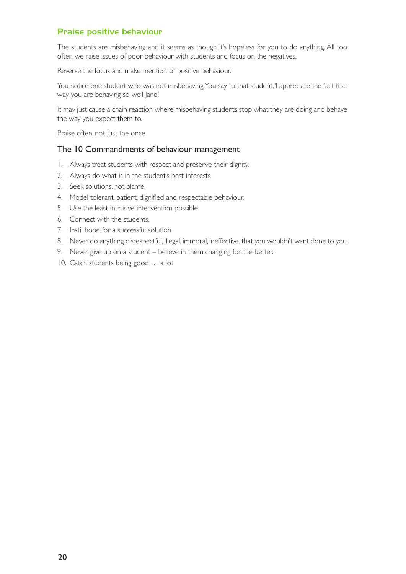# Praise positive behaviour

The students are misbehaving and it seems as though it's hopeless for you to do anything. All too often we raise issues of poor behaviour with students and focus on the negatives.

Reverse the focus and make mention of positive behaviour.

You notice one student who was not misbehaving. You say to that student, 'I appreciate the fact that way you are behaving so well Jane.'

It may just cause a chain reaction where misbehaving students stop what they are doing and behave the way you expect them to.

Praise often, not just the once.

## The 10 Commandments of behaviour management

- 1. Always treat students with respect and preserve their dignity.
- 2. Always do what is in the student's best interests.
- 3. Seek solutions, not blame.
- 4. Model tolerant, patient, dignified and respectable behaviour.
- 5. Use the least intrusive intervention possible.
- 6. Connect with the students.
- 7. Instil hope for a successful solution.
- 8. Never do anything disrespectful, illegal, immoral, ineffective, that you wouldn't want done to you.
- 9. Never give up on a student believe in them changing for the better.
- 10. Catch students being good … a lot.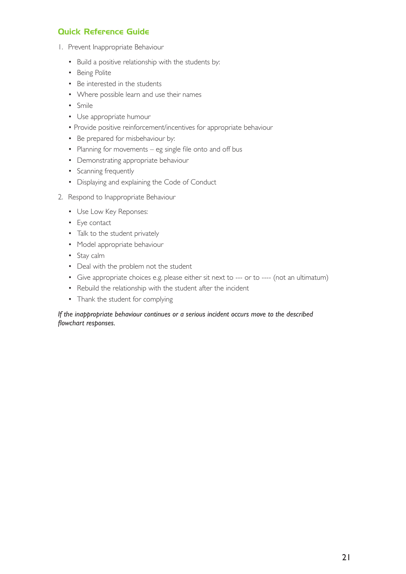# Quick Reference Guide

- 1. Prevent Inappropriate Behaviour
	- Build a positive relationship with the students by:
	- Being Polite
	- Be interested in the students
	- Where possible learn and use their names
	- Smile
	- Use appropriate humour
	- Provide positive reinforcement/incentives for appropriate behaviour
	- Be prepared for misbehaviour by:
	- Planning for movements eg single file onto and off bus
	- Demonstrating appropriate behaviour
	- Scanning frequently
	- Displaying and explaining the Code of Conduct
- 2. Respond to Inappropriate Behaviour
	- Use Low Key Reponses:
	- Eye contact
	- Talk to the student privately
	- Model appropriate behaviour
	- Stay calm
	- Deal with the problem not the student
	- Give appropriate choices e.g. please either sit next to --- or to ---- (not an ultimatum)
	- Rebuild the relationship with the student after the incident
	- Thank the student for complying

*If the inappropriate behaviour continues or a serious incident occurs move to the described flowchart responses.*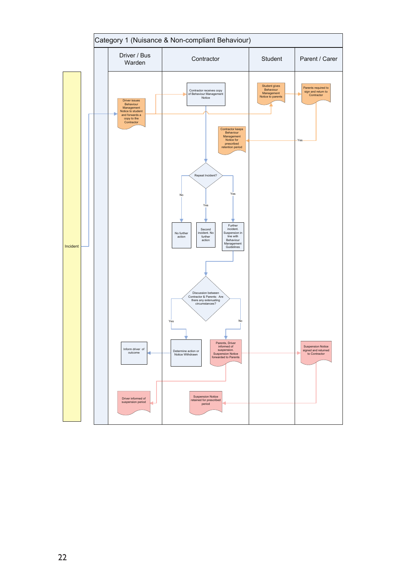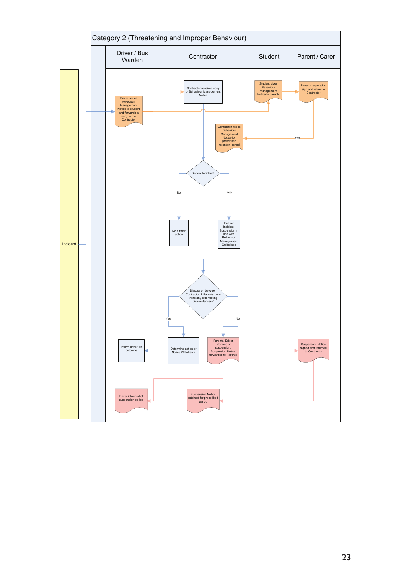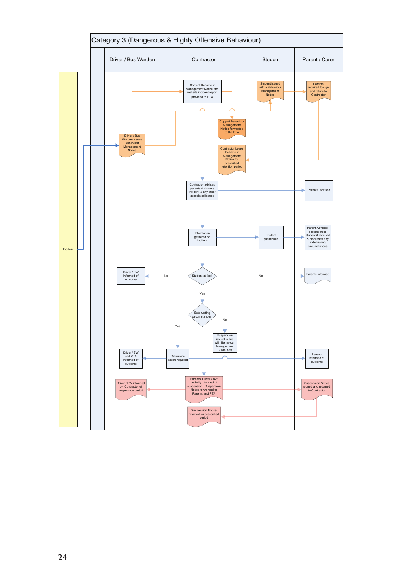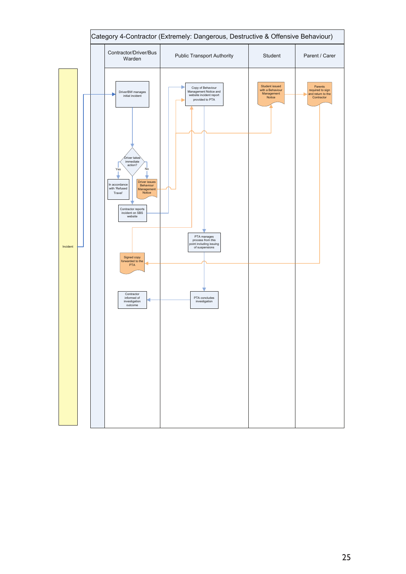